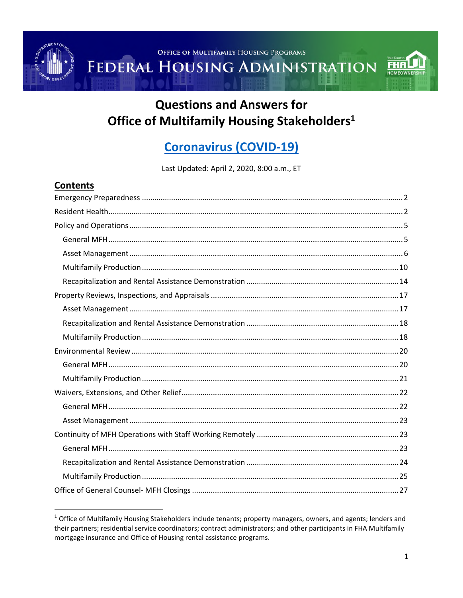FEDERAL HOUSING ADMINISTRATION



# **Questions and Answers for** Office of Multifamily Housing Stakeholders<sup>1</sup>

# **Coronavirus (COVID-19)**

Last Updated: April 2, 2020, 8:00 a.m., ET

| contents |  |
|----------|--|
|          |  |
|          |  |
|          |  |
|          |  |
|          |  |
|          |  |
|          |  |
|          |  |
|          |  |
|          |  |
|          |  |
|          |  |
|          |  |
|          |  |
|          |  |
|          |  |
|          |  |
|          |  |
|          |  |
|          |  |
|          |  |
|          |  |

 $1$  Office of Multifamily Housing Stakeholders include tenants; property managers, owners, and agents; lenders and their partners; residential service coordinators; contract administrators; and other participants in FHA Multifamily mortgage insurance and Office of Housing rental assistance programs.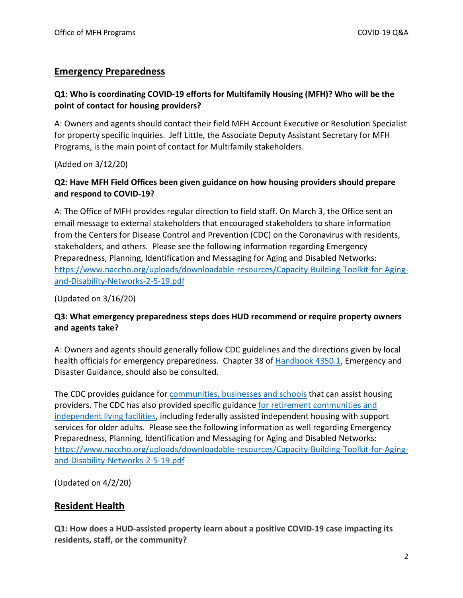# <span id="page-1-0"></span>**Emergency Preparedness**

# **Q1: Who is coordinating COVID-19 efforts for Multifamily Housing (MFH)? Who will be the point of contact for housing providers?**

A: Owners and agents should contact their field MFH Account Executive or Resolution Specialist for property specific inquiries. Jeff Little, the Associate Deputy Assistant Secretary for MFH Programs, is the main point of contact for Multifamily stakeholders.

(Added on 3/12/20)

# **Q2: Have MFH Field Offices been given guidance on how housing providers should prepare and respond to COVID-19?**

A: The Office of MFH provides regular direction to field staff. On March 3, the Office sent an email message to external stakeholders that encouraged stakeholders to share information from the Centers for Disease Control and Prevention (CDC) on the Coronavirus with residents, stakeholders, and others. Please see the following information regarding Emergency Preparedness, Planning, Identification and Messaging for Aging and Disabled Networks: [https://www.naccho.org/uploads/downloadable-resources/Capacity-Building-Toolkit-for-Aging](https://www.naccho.org/uploads/downloadable-resources/Capacity-Building-Toolkit-for-Aging-and-Disability-Networks-2-5-19.pdf)[and-Disability-Networks-2-5-19.pdf](https://www.naccho.org/uploads/downloadable-resources/Capacity-Building-Toolkit-for-Aging-and-Disability-Networks-2-5-19.pdf)

(Updated on 3/16/20)

# **Q3: What emergency preparedness steps does HUD recommend or require property owners and agents take?**

A: Owners and agents should generally follow CDC guidelines and the directions given by local health officials for emergency preparedness. Chapter 38 of [Handbook 4350.1,](https://www.hud.gov/program_offices/administration/hudclips/handbooks/hsgh/4350.1) Emergency and Disaster Guidance, should also be consulted.

The CDC provides guidance for [communities, businesses and schools](https://www.cdc.gov/coronavirus/2019-ncov/community/index.html?CDC_AA_refVal=https%3A%2F%2Fwww.cdc.gov%2Fcoronavirus%2F2019-ncov%2Fpreparing-individuals-communities.html) that can assist housing providers. The CDC has also provided specific guidance [for retirement communities and](https://www.cdc.gov/coronavirus/2019-ncov/community/retirement/guidance-retirement-response.html)  [independent living facilities,](https://www.cdc.gov/coronavirus/2019-ncov/community/retirement/guidance-retirement-response.html) including federally assisted independent housing with support services for older adults. Please see the following information as well regarding Emergency Preparedness, Planning, Identification and Messaging for Aging and Disabled Networks: [https://www.naccho.org/uploads/downloadable-resources/Capacity-Building-Toolkit-for-Aging](https://www.naccho.org/uploads/downloadable-resources/Capacity-Building-Toolkit-for-Aging-and-Disability-Networks-2-5-19.pdf)[and-Disability-Networks-2-5-19.pdf](https://www.naccho.org/uploads/downloadable-resources/Capacity-Building-Toolkit-for-Aging-and-Disability-Networks-2-5-19.pdf)

(Updated on 4/2/20)

# <span id="page-1-1"></span>**Resident Health**

**Q1: How does a HUD-assisted property learn about a positive COVID-19 case impacting its residents, staff, or the community?**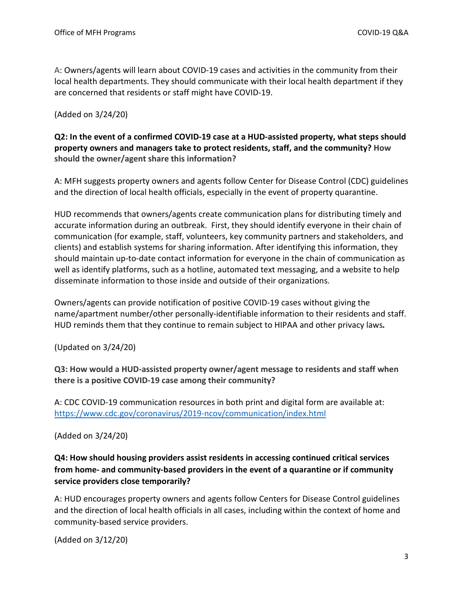A: Owners/agents will learn about COVID-19 cases and activities in the community from their local health departments. They should communicate with their local health department if they are concerned that residents or staff might have COVID-19.

(Added on 3/24/20)

# **Q2: In the event of a confirmed COVID-19 case at a HUD-assisted property, what steps should property owners and managers take to protect residents, staff, and the community? How should the owner/agent share this information?**

A: MFH suggests property owners and agents follow Center for Disease Control (CDC) guidelines and the direction of local health officials, especially in the event of property quarantine.

HUD recommends that owners/agents create communication plans for distributing timely and accurate information during an outbreak.First, they should identify everyone in their chain of communication (for example, staff, volunteers, key community partners and stakeholders, and clients) and establish systems for sharing information. After identifying this information, they should maintain up-to-date contact information for everyone in the chain of communication as well as identify platforms, such as a hotline, automated text messaging, and a website to help disseminate information to those inside and outside of their organizations.

Owners/agents can provide notification of positive COVID-19 cases without giving the name/apartment number/other personally-identifiable information to their residents and staff. HUD reminds them that they continue to remain subject to HIPAA and other privacy laws*.* 

(Updated on 3/24/20)

**Q3: How would a HUD-assisted property owner/agent message to residents and staff when there is a positive COVID-19 case among their community?** 

A: CDC COVID-19 communication resources in both print and digital form are available at: <https://www.cdc.gov/coronavirus/2019-ncov/communication/index.html>

(Added on 3/24/20)

# **Q4: How should housing providers assist residents in accessing continued critical services from home- and community-based providers in the event of a quarantine or if community service providers close temporarily?**

A: HUD encourages property owners and agents follow Centers for Disease Control guidelines and the direction of local health officials in all cases, including within the context of home and community-based service providers.

(Added on 3/12/20)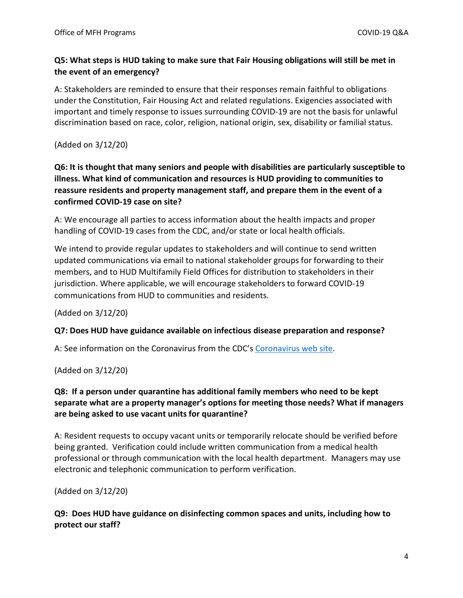# **Q5: What steps is HUD taking to make sure that Fair Housing obligations will still be met in the event of an emergency?**

A: Stakeholders are reminded to ensure that their responses remain faithful to obligations under the Constitution, Fair Housing Act and related regulations. Exigencies associated with important and timely response to issues surrounding COVID-19 are not the basis for unlawful discrimination based on race, color, religion, national origin, sex, disability or familial status.

(Added on 3/12/20)

**Q6: It is thought that many seniors and people with disabilities are particularly susceptible to illness. What kind of communication and resources is HUD providing to communities to reassure residents and property management staff, and prepare them in the event of a confirmed COVID-19 case on site?** 

A: We encourage all parties to access information about the health impacts and proper handling of COVID-19 cases from the CDC, and/or state or local health officials.

We intend to provide regular updates to stakeholders and will continue to send written updated communications via email to national stakeholder groups for forwarding to their members, and to HUD Multifamily Field Offices for distribution to stakeholders in their jurisdiction. Where applicable, we will encourage stakeholders to forward COVID-19 communications from HUD to communities and residents.

(Added on 3/12/20)

#### **Q7: Does HUD have guidance available on infectious disease preparation and response?**

A: See information on the Coronavirus from the CDC'[s Coronavirus web site.](https://www.cdc.gov/coronavirus/2019-ncov/community/index.html)

(Added on 3/12/20)

# **Q8: If a person under quarantine has additional family members who need to be kept separate what are a property manager's options for meeting those needs? What if managers are being asked to use vacant units for quarantine?**

A: Resident requests to occupy vacant units or temporarily relocate should be verified before being granted. Verification could include written communication from a medical health professional or through communication with the local health department. Managers may use electronic and telephonic communication to perform verification.

(Added on 3/12/20)

**Q9: Does HUD have guidance on disinfecting common spaces and units, including how to protect our staff?**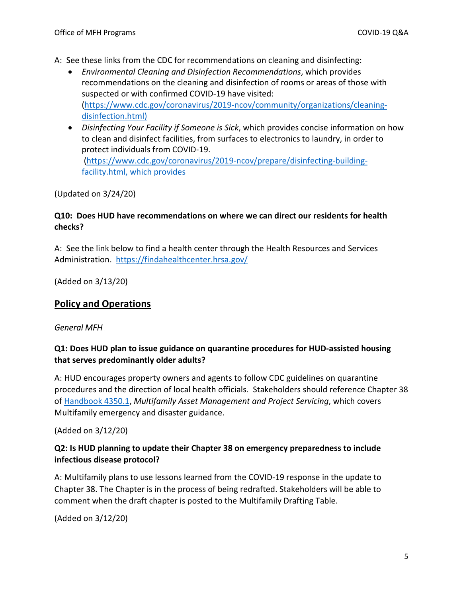A: See these links from the CDC for recommendations on cleaning and disinfecting:

- *Environmental Cleaning and Disinfection Recommendations*, which provides recommendations on the cleaning and disinfection of rooms or areas of those with suspected or with confirmed COVID-19 have visited: [\(https://www.cdc.gov/coronavirus/2019-ncov/community/organizations/cleaning](https://www.cdc.gov/coronavirus/2019-ncov/community/organizations/cleaning-disinfection.html)[disinfection.html\)](https://www.cdc.gov/coronavirus/2019-ncov/community/organizations/cleaning-disinfection.html)
- *Disinfecting Your Facility if Someone is Sick*, which provides concise information on how to clean and disinfect facilities, from surfaces to electronics to laundry, in order to protect individuals from COVID-19. [\(https://www.cdc.gov/coronavirus/2019-ncov/prepare/disinfecting-building-](https://www.cdc.gov/coronavirus/2019-ncov/prepare/disinfecting-building-facility.html)

(Updated on 3/24/20)

[facility.html,](https://www.cdc.gov/coronavirus/2019-ncov/prepare/disinfecting-building-facility.html) which provides

# **Q10: Does HUD have recommendations on where we can direct our residents for health checks?**

A: See the link below to find a health center through the Health Resources and Services Administration. <https://findahealthcenter.hrsa.gov/>

(Added on 3/13/20)

# <span id="page-4-0"></span>**Policy and Operations**

# <span id="page-4-1"></span>*General MFH*

# **Q1: Does HUD plan to issue guidance on quarantine procedures for HUD-assisted housing that serves predominantly older adults?**

A: HUD encourages property owners and agents to follow CDC guidelines on quarantine procedures and the direction of local health officials. Stakeholders should reference Chapter 38 o[f Handbook 4350.1,](https://www.hud.gov/program_offices/administration/hudclips/handbooks/hsgh/4350.1) *Multifamily Asset Management and Project Servicing*, which covers Multifamily emergency and disaster guidance.

(Added on 3/12/20)

# **Q2: Is HUD planning to update their Chapter 38 on emergency preparedness to include infectious disease protocol?**

A: Multifamily plans to use lessons learned from the COVID-19 response in the update to Chapter 38. The Chapter is in the process of being redrafted. Stakeholders will be able to comment when the draft chapter is posted to the Multifamily Drafting Table.

(Added on 3/12/20)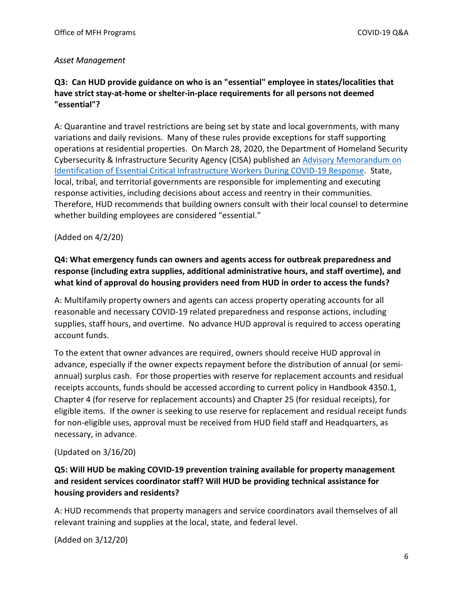#### <span id="page-5-0"></span>*Asset Management*

# **Q3: Can HUD provide guidance on who is an "essential" employee in states/localities that have strict stay-at-home or shelter-in-place requirements for all persons not deemed "essential"?**

A: Quarantine and travel restrictions are being set by state and local governments, with many variations and daily revisions. Many of these rules provide exceptions for staff supporting operations at residential properties. On March 28, 2020, the Department of Homeland Security Cybersecurity & Infrastructure Security Agency (CISA) published an [Advisory Memorandum on](https://www.cisa.gov/publication/guidance-essential-critical-infrastructure-workforce#download)  [Identification of Essential Critical Infrastructure Workers During COVID-19 Response.](https://www.cisa.gov/publication/guidance-essential-critical-infrastructure-workforce#download) State, local, tribal, and territorial governments are responsible for implementing and executing response activities, including decisions about access and reentry in their communities. Therefore, HUD recommends that building owners consult with their local counsel to determine whether building employees are considered "essential."

#### (Added on 4/2/20)

# **Q4: What emergency funds can owners and agents access for outbreak preparedness and response (including extra supplies, additional administrative hours, and staff overtime), and what kind of approval do housing providers need from HUD in order to access the funds?**

A: Multifamily property owners and agents can access property operating accounts for all reasonable and necessary COVID-19 related preparedness and response actions, including supplies, staff hours, and overtime. No advance HUD approval is required to access operating account funds.

To the extent that owner advances are required, owners should receive HUD approval in advance, especially if the owner expects repayment before the distribution of annual (or semiannual) surplus cash. For those properties with reserve for replacement accounts and residual receipts accounts, funds should be accessed according to current policy in Handbook 4350.1, Chapter 4 (for reserve for replacement accounts) and Chapter 25 (for residual receipts), for eligible items. If the owner is seeking to use reserve for replacement and residual receipt funds for non-eligible uses, approval must be received from HUD field staff and Headquarters, as necessary, in advance.

#### (Updated on 3/16/20)

# **Q5: Will HUD be making COVID-19 prevention training available for property management and resident services coordinator staff? Will HUD be providing technical assistance for housing providers and residents?**

A: HUD recommends that property managers and service coordinators avail themselves of all relevant training and supplies at the local, state, and federal level.

(Added on 3/12/20)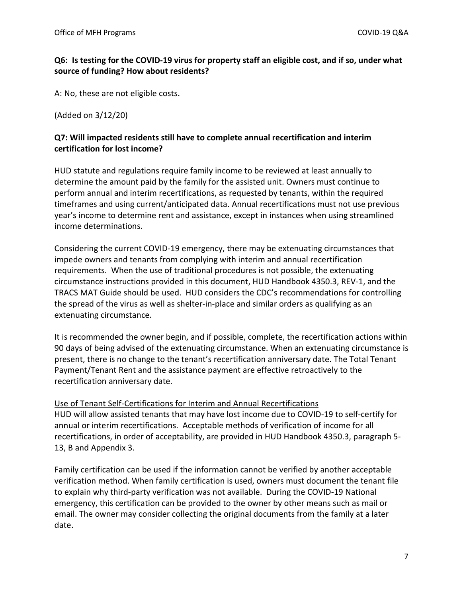# **Q6: Is testing for the COVID-19 virus for property staff an eligible cost, and if so, under what source of funding? How about residents?**

A: No, these are not eligible costs.

(Added on 3/12/20)

#### **Q7: Will impacted residents still have to complete annual recertification and interim certification for lost income?**

HUD statute and regulations require family income to be reviewed at least annually to determine the amount paid by the family for the assisted unit. Owners must continue to perform annual and interim recertifications, as requested by tenants, within the required timeframes and using current/anticipated data. Annual recertifications must not use previous year's income to determine rent and assistance, except in instances when using streamlined income determinations.

Considering the current COVID-19 emergency, there may be extenuating circumstances that impede owners and tenants from complying with interim and annual recertification requirements. When the use of traditional procedures is not possible, the extenuating circumstance instructions provided in this document, HUD Handbook 4350.3, REV-1, and the TRACS MAT Guide should be used. HUD considers the CDC's recommendations for controlling the spread of the virus as well as shelter-in-place and similar orders as qualifying as an extenuating circumstance.

It is recommended the owner begin, and if possible, complete, the recertification actions within 90 days of being advised of the extenuating circumstance. When an extenuating circumstance is present, there is no change to the tenant's recertification anniversary date. The Total Tenant Payment/Tenant Rent and the assistance payment are effective retroactively to the recertification anniversary date.

Use of Tenant Self-Certifications for Interim and Annual Recertifications HUD will allow assisted tenants that may have lost income due to COVID-19 to self-certify for annual or interim recertifications. Acceptable methods of verification of income for all recertifications, in order of acceptability, are provided in HUD Handbook 4350.3, paragraph 5- 13, B and Appendix 3.

Family certification can be used if the information cannot be verified by another acceptable verification method. When family certification is used, owners must document the tenant file to explain why third-party verification was not available. During the COVID-19 National emergency, this certification can be provided to the owner by other means such as mail or email. The owner may consider collecting the original documents from the family at a later date.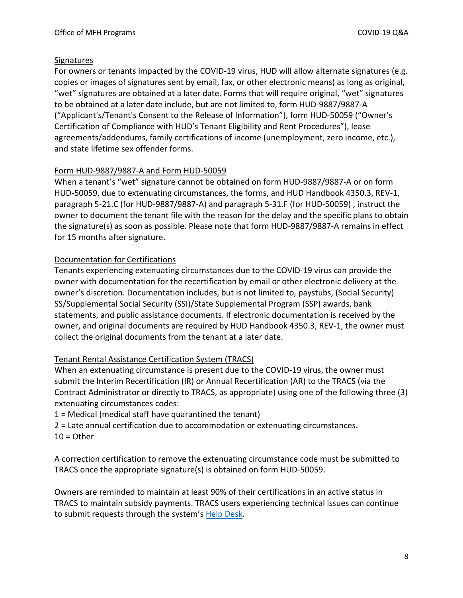#### Signatures

For owners or tenants impacted by the COVID-19 virus, HUD will allow alternate signatures (e.g. copies or images of signatures sent by email, fax, or other electronic means) as long as original, "wet" signatures are obtained at a later date. Forms that will require original, "wet" signatures to be obtained at a later date include, but are not limited to, form HUD-9887/9887-A ("Applicant's/Tenant's Consent to the Release of Information"), form HUD-50059 ("Owner's Certification of Compliance with HUD's Tenant Eligibility and Rent Procedures"), lease agreements/addendums, family certifications of income (unemployment, zero income, etc.), and state lifetime sex offender forms.

# Form HUD-9887/9887-A and Form HUD-50059

When a tenant's "wet" signature cannot be obtained on form HUD-9887/9887-A or on form HUD-50059, due to extenuating circumstances, the forms, and HUD Handbook 4350.3, REV-1, paragraph 5-21.C (for HUD-9887/9887-A) and paragraph 5-31.F (for HUD-50059) , instruct the owner to document the tenant file with the reason for the delay and the specific plans to obtain the signature(s) as soon as possible. Please note that form HUD-9887/9887-A remains in effect for 15 months after signature.

# Documentation for Certifications

Tenants experiencing extenuating circumstances due to the COVID-19 virus can provide the owner with documentation for the recertification by email or other electronic delivery at the owner's discretion. Documentation includes, but is not limited to, paystubs, (Social Security) SS/Supplemental Social Security (SSI)/State Supplemental Program (SSP) awards, bank statements, and public assistance documents. If electronic documentation is received by the owner, and original documents are required by HUD Handbook 4350.3, REV-1, the owner must collect the original documents from the tenant at a later date.

# Tenant Rental Assistance Certification System (TRACS)

When an extenuating circumstance is present due to the COVID-19 virus, the owner must submit the Interim Recertification (IR) or Annual Recertification (AR) to the TRACS (via the Contract Administrator or directly to TRACS, as appropriate) using one of the following three (3) extenuating circumstances codes:

1 = Medical (medical staff have quarantined the tenant)

2 = Late annual certification due to accommodation or extenuating circumstances.  $10 =$ Other

A correction certification to remove the extenuating circumstance code must be submitted to TRACS once the appropriate signature(s) is obtained on form HUD-50059.

Owners are reminded to maintain at least 90% of their certifications in an active status in TRACS to maintain subsidy payments. TRACS users experiencing technical issues can continue to submit requests through the system's [Help Desk.](https://www.hud.gov/program_offices/housing/mfh/trx/trxsum)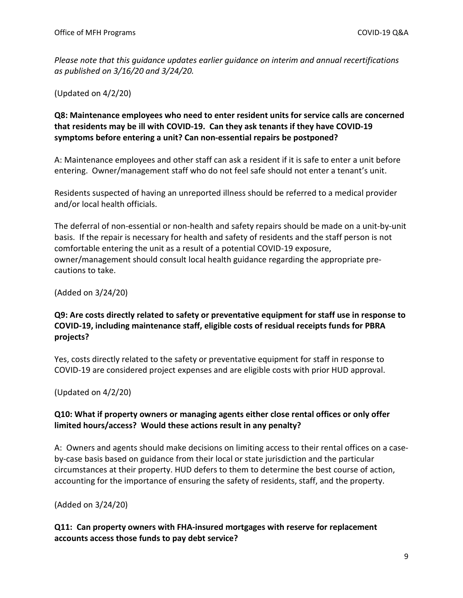*Please note that this guidance updates earlier guidance on interim and annual recertifications as published on 3/16/20 and 3/24/20.* 

(Updated on 4/2/20)

**Q8: Maintenance employees who need to enter resident units for service calls are concerned that residents may be ill with COVID-19. Can they ask tenants if they have COVID-19 symptoms before entering a unit? Can non-essential repairs be postponed?** 

A: Maintenance employees and other staff can ask a resident if it is safe to enter a unit before entering. Owner/management staff who do not feel safe should not enter a tenant's unit.

Residents suspected of having an unreported illness should be referred to a medical provider and/or local health officials.

The deferral of non-essential or non-health and safety repairs should be made on a unit-by-unit basis. If the repair is necessary for health and safety of residents and the staff person is not comfortable entering the unit as a result of a potential COVID-19 exposure, owner/management should consult local health guidance regarding the appropriate precautions to take.

(Added on 3/24/20)

# **Q9: Are costs directly related to safety or preventative equipment for staff use in response to COVID-19, including maintenance staff, eligible costs of residual receipts funds for PBRA projects?**

Yes, costs directly related to the safety or preventative equipment for staff in response to COVID-19 are considered project expenses and are eligible costs with prior HUD approval.

(Updated on 4/2/20)

# **Q10: What if property owners or managing agents either close rental offices or only offer limited hours/access? Would these actions result in any penalty?**

A: Owners and agents should make decisions on limiting access to their rental offices on a caseby-case basis based on guidance from their local or state jurisdiction and the particular circumstances at their property. HUD defers to them to determine the best course of action, accounting for the importance of ensuring the safety of residents, staff, and the property.

(Added on 3/24/20)

# **Q11: Can property owners with FHA-insured mortgages with reserve for replacement accounts access those funds to pay debt service?**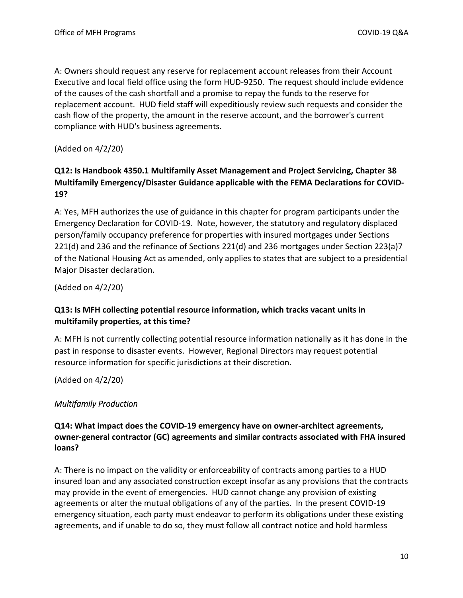A: Owners should request any reserve for replacement account releases from their Account Executive and local field office using the form HUD-9250. The request should include evidence of the causes of the cash shortfall and a promise to repay the funds to the reserve for replacement account. HUD field staff will expeditiously review such requests and consider the cash flow of the property, the amount in the reserve account, and the borrower's current compliance with HUD's business agreements.

(Added on 4/2/20)

# **Q12: Is Handbook 4350.1 Multifamily Asset Management and Project Servicing, Chapter 38 Multifamily Emergency/Disaster Guidance applicable with the FEMA Declarations for COVID-19?**

A: Yes, MFH authorizes the use of guidance in this chapter for program participants under the Emergency Declaration for COVID-19. Note, however, the statutory and regulatory displaced person/family occupancy preference for properties with insured mortgages under Sections 221(d) and 236 and the refinance of Sections 221(d) and 236 mortgages under Section 223(a)7 of the National Housing Act as amended, only applies to states that are subject to a presidential Major Disaster declaration.

(Added on 4/2/20)

# **Q13: Is MFH collecting potential resource information, which tracks vacant units in multifamily properties, at this time?**

A: MFH is not currently collecting potential resource information nationally as it has done in the past in response to disaster events. However, Regional Directors may request potential resource information for specific jurisdictions at their discretion.

(Added on 4/2/20)

# <span id="page-9-0"></span>*Multifamily Production*

# **Q14: What impact does the COVID-19 emergency have on owner-architect agreements, owner-general contractor (GC) agreements and similar contracts associated with FHA insured loans?**

A: There is no impact on the validity or enforceability of contracts among parties to a HUD insured loan and any associated construction except insofar as any provisions that the contracts may provide in the event of emergencies. HUD cannot change any provision of existing agreements or alter the mutual obligations of any of the parties. In the present COVID-19 emergency situation, each party must endeavor to perform its obligations under these existing agreements, and if unable to do so, they must follow all contract notice and hold harmless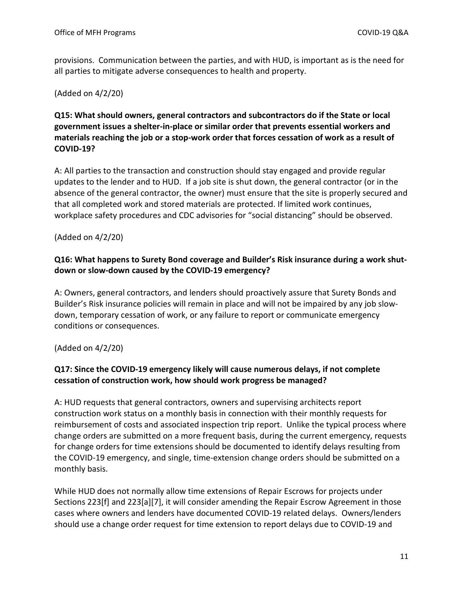provisions. Communication between the parties, and with HUD, is important as is the need for all parties to mitigate adverse consequences to health and property.

#### (Added on 4/2/20)

# **Q15: What should owners, general contractors and subcontractors do if the State or local government issues a shelter-in-place or similar order that prevents essential workers and materials reaching the job or a stop-work order that forces cessation of work as a result of COVID-19?**

A: All parties to the transaction and construction should stay engaged and provide regular updates to the lender and to HUD. If a job site is shut down, the general contractor (or in the absence of the general contractor, the owner) must ensure that the site is properly secured and that all completed work and stored materials are protected. If limited work continues, workplace safety procedures and CDC advisories for "social distancing" should be observed.

#### (Added on 4/2/20)

# **Q16: What happens to Surety Bond coverage and Builder's Risk insurance during a work shutdown or slow-down caused by the COVID-19 emergency?**

A: Owners, general contractors, and lenders should proactively assure that Surety Bonds and Builder's Risk insurance policies will remain in place and will not be impaired by any job slowdown, temporary cessation of work, or any failure to report or communicate emergency conditions or consequences.

# (Added on 4/2/20)

# **Q17: Since the COVID-19 emergency likely will cause numerous delays, if not complete cessation of construction work, how should work progress be managed?**

A: HUD requests that general contractors, owners and supervising architects report construction work status on a monthly basis in connection with their monthly requests for reimbursement of costs and associated inspection trip report. Unlike the typical process where change orders are submitted on a more frequent basis, during the current emergency, requests for change orders for time extensions should be documented to identify delays resulting from the COVID-19 emergency, and single, time-extension change orders should be submitted on a monthly basis.

While HUD does not normally allow time extensions of Repair Escrows for projects under Sections 223[f] and 223[a][7], it will consider amending the Repair Escrow Agreement in those cases where owners and lenders have documented COVID-19 related delays. Owners/lenders should use a change order request for time extension to report delays due to COVID-19 and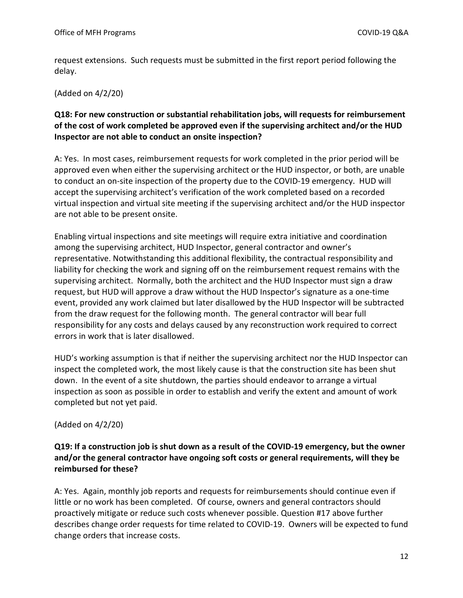request extensions. Such requests must be submitted in the first report period following the delay.

#### (Added on 4/2/20)

# **Q18: For new construction or substantial rehabilitation jobs, will requests for reimbursement of the cost of work completed be approved even if the supervising architect and/or the HUD Inspector are not able to conduct an onsite inspection?**

A: Yes. In most cases, reimbursement requests for work completed in the prior period will be approved even when either the supervising architect or the HUD inspector, or both, are unable to conduct an on-site inspection of the property due to the COVID-19 emergency. HUD will accept the supervising architect's verification of the work completed based on a recorded virtual inspection and virtual site meeting if the supervising architect and/or the HUD inspector are not able to be present onsite.

Enabling virtual inspections and site meetings will require extra initiative and coordination among the supervising architect, HUD Inspector, general contractor and owner's representative. Notwithstanding this additional flexibility, the contractual responsibility and liability for checking the work and signing off on the reimbursement request remains with the supervising architect. Normally, both the architect and the HUD Inspector must sign a draw request, but HUD will approve a draw without the HUD Inspector's signature as a one-time event, provided any work claimed but later disallowed by the HUD Inspector will be subtracted from the draw request for the following month. The general contractor will bear full responsibility for any costs and delays caused by any reconstruction work required to correct errors in work that is later disallowed.

HUD's working assumption is that if neither the supervising architect nor the HUD Inspector can inspect the completed work, the most likely cause is that the construction site has been shut down. In the event of a site shutdown, the parties should endeavor to arrange a virtual inspection as soon as possible in order to establish and verify the extent and amount of work completed but not yet paid.

#### (Added on 4/2/20)

# **Q19: If a construction job is shut down as a result of the COVID-19 emergency, but the owner and/or the general contractor have ongoing soft costs or general requirements, will they be reimbursed for these?**

A: Yes. Again, monthly job reports and requests for reimbursements should continue even if little or no work has been completed. Of course, owners and general contractors should proactively mitigate or reduce such costs whenever possible. Question #17 above further describes change order requests for time related to COVID-19. Owners will be expected to fund change orders that increase costs.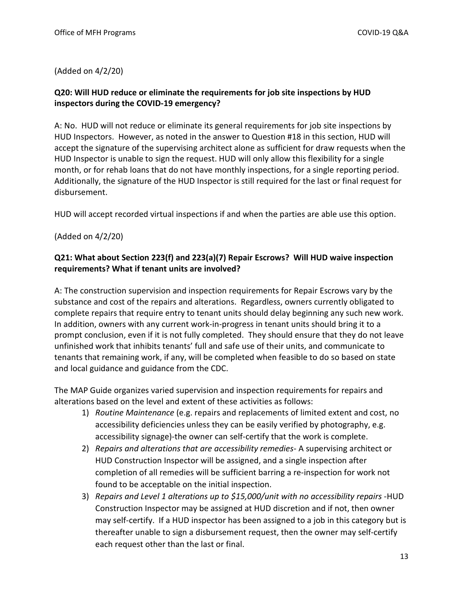#### (Added on 4/2/20)

# **Q20: Will HUD reduce or eliminate the requirements for job site inspections by HUD inspectors during the COVID-19 emergency?**

A: No. HUD will not reduce or eliminate its general requirements for job site inspections by HUD Inspectors. However, as noted in the answer to Question #18 in this section, HUD will accept the signature of the supervising architect alone as sufficient for draw requests when the HUD Inspector is unable to sign the request. HUD will only allow this flexibility for a single month, or for rehab loans that do not have monthly inspections, for a single reporting period. Additionally, the signature of the HUD Inspector is still required for the last or final request for disbursement.

HUD will accept recorded virtual inspections if and when the parties are able use this option.

# (Added on 4/2/20)

# **Q21: What about Section 223(f) and 223(a)(7) Repair Escrows? Will HUD waive inspection requirements? What if tenant units are involved?**

A: The construction supervision and inspection requirements for Repair Escrows vary by the substance and cost of the repairs and alterations. Regardless, owners currently obligated to complete repairs that require entry to tenant units should delay beginning any such new work. In addition, owners with any current work-in-progress in tenant units should bring it to a prompt conclusion, even if it is not fully completed. They should ensure that they do not leave unfinished work that inhibits tenants' full and safe use of their units, and communicate to tenants that remaining work, if any, will be completed when feasible to do so based on state and local guidance and guidance from the CDC.

The MAP Guide organizes varied supervision and inspection requirements for repairs and alterations based on the level and extent of these activities as follows:

- 1) *Routine Maintenance* (e.g. repairs and replacements of limited extent and cost, no accessibility deficiencies unless they can be easily verified by photography, e.g. accessibility signage)-the owner can self-certify that the work is complete.
- 2) *Repairs and alterations that are accessibility remedies* A supervising architect or HUD Construction Inspector will be assigned, and a single inspection after completion of all remedies will be sufficient barring a re-inspection for work not found to be acceptable on the initial inspection.
- 3) *Repairs and Level 1 alterations up to \$15,000/unit with no accessibility repairs* -HUD Construction Inspector may be assigned at HUD discretion and if not, then owner may self-certify. If a HUD inspector has been assigned to a job in this category but is thereafter unable to sign a disbursement request, then the owner may self-certify each request other than the last or final.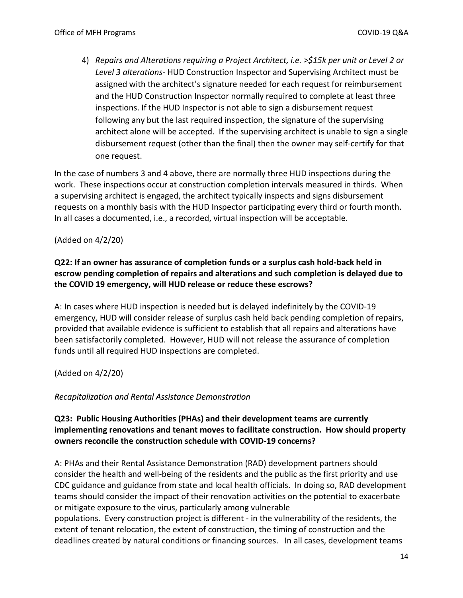4) *Repairs and Alterations requiring a Project Architect, i.e. >\$15k per unit or Level 2 or Level 3 alterations*- HUD Construction Inspector and Supervising Architect must be assigned with the architect's signature needed for each request for reimbursement and the HUD Construction Inspector normally required to complete at least three inspections. If the HUD Inspector is not able to sign a disbursement request following any but the last required inspection, the signature of the supervising architect alone will be accepted. If the supervising architect is unable to sign a single disbursement request (other than the final) then the owner may self-certify for that one request.

In the case of numbers 3 and 4 above, there are normally three HUD inspections during the work. These inspections occur at construction completion intervals measured in thirds. When a supervising architect is engaged, the architect typically inspects and signs disbursement requests on a monthly basis with the HUD Inspector participating every third or fourth month. In all cases a documented, i.e., a recorded, virtual inspection will be acceptable.

# (Added on 4/2/20)

# **Q22: If an owner has assurance of completion funds or a surplus cash hold-back held in escrow pending completion of repairs and alterations and such completion is delayed due to the COVID 19 emergency, will HUD release or reduce these escrows?**

A: In cases where HUD inspection is needed but is delayed indefinitely by the COVID-19 emergency, HUD will consider release of surplus cash held back pending completion of repairs, provided that available evidence is sufficient to establish that all repairs and alterations have been satisfactorily completed. However, HUD will not release the assurance of completion funds until all required HUD inspections are completed.

(Added on 4/2/20)

# <span id="page-13-0"></span>*Recapitalization and Rental Assistance Demonstration*

# **Q23: Public Housing Authorities (PHAs) and their development teams are currently implementing renovations and tenant moves to facilitate construction. How should property owners reconcile the construction schedule with COVID-19 concerns?**

A: PHAs and their Rental Assistance Demonstration (RAD) development partners should consider the health and well-being of the residents and the public as the first priority and use CDC guidance and guidance from state and local health officials. In doing so, RAD development teams should consider the impact of their renovation activities on the potential to exacerbate or mitigate exposure to the virus, particularly among vulnerable

populations. Every construction project is different - in the vulnerability of the residents, the extent of tenant relocation, the extent of construction, the timing of construction and the deadlines created by natural conditions or financing sources. In all cases, development teams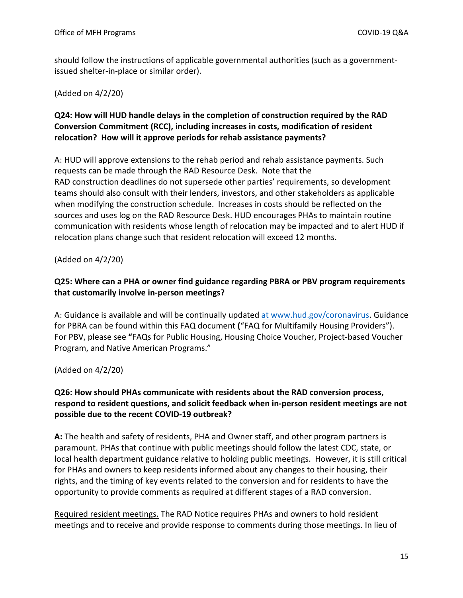should follow the instructions of applicable governmental authorities (such as a governmentissued shelter-in-place or similar order).

(Added on 4/2/20)

# **Q24: How will HUD handle delays in the completion of construction required by the RAD Conversion Commitment (RCC), including increases in costs, modification of resident relocation? How will it approve periods for rehab assistance payments?**

A: HUD will approve extensions to the rehab period and rehab assistance payments. Such requests can be made through the RAD Resource Desk. Note that the RAD construction deadlines do not supersede other parties' requirements, so development teams should also consult with their lenders, investors, and other stakeholders as applicable when modifying the construction schedule. Increases in costs should be reflected on the sources and uses log on the RAD Resource Desk. HUD encourages PHAs to maintain routine communication with residents whose length of relocation may be impacted and to alert HUD if relocation plans change such that resident relocation will exceed 12 months.

(Added on 4/2/20)

# **Q25: Where can a PHA or owner find guidance regarding PBRA or PBV program requirements that customarily involve in-person meetings?**

A: Guidance is available and will be continually updated at www.hud.gov/coronavirus. Guidance for PBRA can be found within this FAQ document **(**"FAQ for Multifamily Housing Providers"). For PBV, please see **"**FAQs for Public Housing, Housing Choice Voucher, Project-based Voucher Program, and Native American Programs."

(Added on 4/2/20)

# **Q26: How should PHAs communicate with residents about the RAD conversion process, respond to resident questions, and solicit feedback when in-person resident meetings are not possible due to the recent COVID-19 outbreak?**

**A:** The health and safety of residents, PHA and Owner staff, and other program partners is paramount. PHAs that continue with public meetings should follow the latest CDC, state, or local health department guidance relative to holding public meetings. However, it is still critical for PHAs and owners to keep residents informed about any changes to their housing, their rights, and the timing of key events related to the conversion and for residents to have the opportunity to provide comments as required at different stages of a RAD conversion.

Required resident meetings. The RAD Notice requires PHAs and owners to hold resident meetings and to receive and provide response to comments during those meetings. In lieu of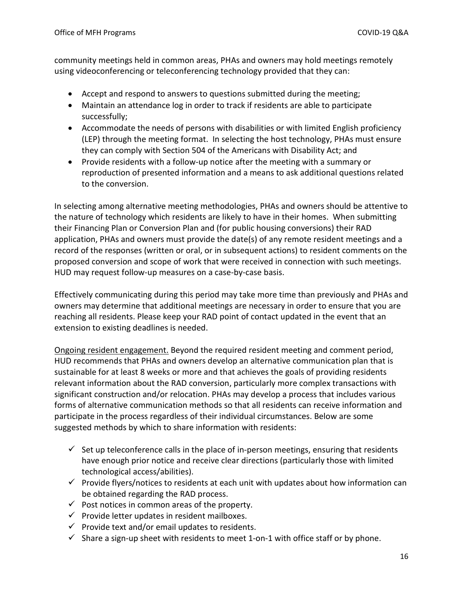community meetings held in common areas, PHAs and owners may hold meetings remotely using videoconferencing or teleconferencing technology provided that they can:

- Accept and respond to answers to questions submitted during the meeting;
- Maintain an attendance log in order to track if residents are able to participate successfully;
- Accommodate the needs of persons with disabilities or with limited English proficiency (LEP) through the meeting format. In selecting the host technology, PHAs must ensure they can comply with Section 504 of the Americans with Disability Act; and
- Provide residents with a follow-up notice after the meeting with a summary or reproduction of presented information and a means to ask additional questions related to the conversion.

In selecting among alternative meeting methodologies, PHAs and owners should be attentive to the nature of technology which residents are likely to have in their homes. When submitting their Financing Plan or Conversion Plan and (for public housing conversions) their RAD application, PHAs and owners must provide the date(s) of any remote resident meetings and a record of the responses (written or oral, or in subsequent actions) to resident comments on the proposed conversion and scope of work that were received in connection with such meetings. HUD may request follow-up measures on a case-by-case basis.

Effectively communicating during this period may take more time than previously and PHAs and owners may determine that additional meetings are necessary in order to ensure that you are reaching all residents. Please keep your RAD point of contact updated in the event that an extension to existing deadlines is needed.

Ongoing resident engagement. Beyond the required resident meeting and comment period, HUD recommends that PHAs and owners develop an alternative communication plan that is sustainable for at least 8 weeks or more and that achieves the goals of providing residents relevant information about the RAD conversion, particularly more complex transactions with significant construction and/or relocation. PHAs may develop a process that includes various forms of alternative communication methods so that all residents can receive information and participate in the process regardless of their individual circumstances. Below are some suggested methods by which to share information with residents:

- $\checkmark$  Set up teleconference calls in the place of in-person meetings, ensuring that residents have enough prior notice and receive clear directions (particularly those with limited technological access/abilities).
- $\checkmark$  Provide flyers/notices to residents at each unit with updates about how information can be obtained regarding the RAD process.
- $\checkmark$  Post notices in common areas of the property.
- $\checkmark$  Provide letter updates in resident mailboxes.
- $\checkmark$  Provide text and/or email updates to residents.
- $\checkmark$  Share a sign-up sheet with residents to meet 1-on-1 with office staff or by phone.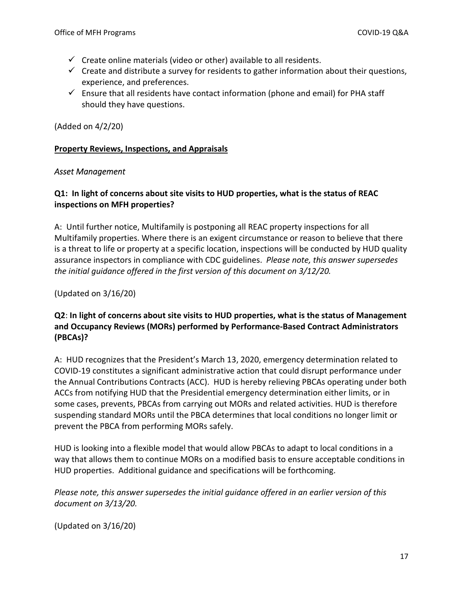- $\checkmark$  Create online materials (video or other) available to all residents.
- $\checkmark$  Create and distribute a survey for residents to gather information about their questions, experience, and preferences.
- $\checkmark$  Ensure that all residents have contact information (phone and email) for PHA staff should they have questions.

(Added on 4/2/20)

#### <span id="page-16-0"></span>**Property Reviews, Inspections, and Appraisals**

#### <span id="page-16-1"></span>*Asset Management*

# **Q1: In light of concerns about site visits to HUD properties, what is the status of REAC inspections on MFH properties?**

A: Until further notice, Multifamily is postponing all REAC property inspections for all Multifamily properties. Where there is an exigent circumstance or reason to believe that there is a threat to life or property at a specific location, inspections will be conducted by HUD quality assurance inspectors in compliance with CDC guidelines. *Please note, this answer supersedes the initial guidance offered in the first version of this document on 3/12/20.*

(Updated on 3/16/20)

# **Q2**: **In light of concerns about site visits to HUD properties, what is the status of Management and Occupancy Reviews (MORs) performed by Performance-Based Contract Administrators (PBCAs)?**

A: HUD recognizes that the President's March 13, 2020, emergency determination related to COVID-19 constitutes a significant administrative action that could disrupt performance under the Annual Contributions Contracts (ACC). HUD is hereby relieving PBCAs operating under both ACCs from notifying HUD that the Presidential emergency determination either limits, or in some cases, prevents, PBCAs from carrying out MORs and related activities. HUD is therefore suspending standard MORs until the PBCA determines that local conditions no longer limit or prevent the PBCA from performing MORs safely.

HUD is looking into a flexible model that would allow PBCAs to adapt to local conditions in a way that allows them to continue MORs on a modified basis to ensure acceptable conditions in HUD properties. Additional guidance and specifications will be forthcoming.

*Please note, this answer supersedes the initial guidance offered in an earlier version of this document on 3/13/20.*

(Updated on 3/16/20)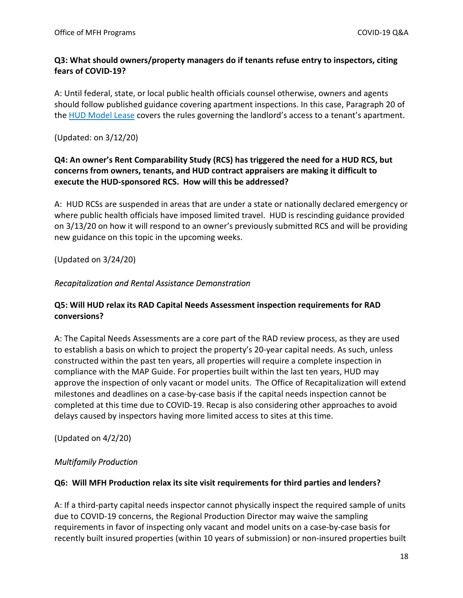# **Q3: What should owners/property managers do if tenants refuse entry to inspectors, citing fears of COVID-19?**

A: Until federal, state, or local public health officials counsel otherwise, owners and agents should follow published guidance covering apartment inspections. In this case, Paragraph 20 of the [HUD Model Lease](https://www.hud.gov/sites/dfiles/OCHCO/documents/90105a.pdf) covers the rules governing the landlord's access to a tenant's apartment.

(Updated: on 3/12/20)

# **Q4: An owner's Rent Comparability Study (RCS) has triggered the need for a HUD RCS, but concerns from owners, tenants, and HUD contract appraisers are making it difficult to execute the HUD-sponsored RCS. How will this be addressed?**

A: HUD RCSs are suspended in areas that are under a state or nationally declared emergency or where public health officials have imposed limited travel. HUD is rescinding guidance provided on 3/13/20 on how it will respond to an owner's previously submitted RCS and will be providing new guidance on this topic in the upcoming weeks.

(Updated on 3/24/20)

# <span id="page-17-0"></span>*Recapitalization and Rental Assistance Demonstration*

# **Q5: Will HUD relax its RAD Capital Needs Assessment inspection requirements for RAD conversions?**

A: The Capital Needs Assessments are a core part of the RAD review process, as they are used to establish a basis on which to project the property's 20-year capital needs. As such, unless constructed within the past ten years, all properties will require a complete inspection in compliance with the MAP Guide. For properties built within the last ten years, HUD may approve the inspection of only vacant or model units. The Office of Recapitalization will extend milestones and deadlines on a case-by-case basis if the capital needs inspection cannot be completed at this time due to COVID-19. Recap is also considering other approaches to avoid delays caused by inspectors having more limited access to sites at this time.

(Updated on 4/2/20)

# <span id="page-17-1"></span>*Multifamily Production*

# **Q6: Will MFH Production relax its site visit requirements for third parties and lenders?**

A: If a third-party capital needs inspector cannot physically inspect the required sample of units due to COVID-19 concerns, the Regional Production Director may waive the sampling requirements in favor of inspecting only vacant and model units on a case-by-case basis for recently built insured properties (within 10 years of submission) or non-insured properties built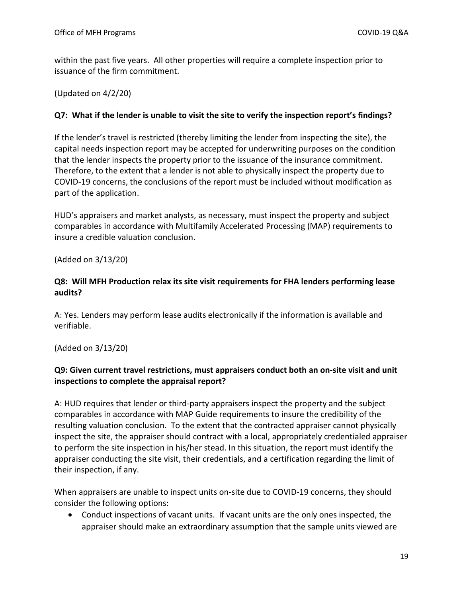within the past five years. All other properties will require a complete inspection prior to issuance of the firm commitment.

(Updated on 4/2/20)

# **Q7: What if the lender is unable to visit the site to verify the inspection report's findings?**

If the lender's travel is restricted (thereby limiting the lender from inspecting the site), the capital needs inspection report may be accepted for underwriting purposes on the condition that the lender inspects the property prior to the issuance of the insurance commitment. Therefore, to the extent that a lender is not able to physically inspect the property due to COVID-19 concerns, the conclusions of the report must be included without modification as part of the application.

HUD's appraisers and market analysts, as necessary, must inspect the property and subject comparables in accordance with Multifamily Accelerated Processing (MAP) requirements to insure a credible valuation conclusion.

(Added on 3/13/20)

# **Q8: Will MFH Production relax its site visit requirements for FHA lenders performing lease audits?**

A: Yes. Lenders may perform lease audits electronically if the information is available and verifiable.

(Added on 3/13/20)

# **Q9: Given current travel restrictions, must appraisers conduct both an on-site visit and unit inspections to complete the appraisal report?**

A: HUD requires that lender or third-party appraisers inspect the property and the subject comparables in accordance with MAP Guide requirements to insure the credibility of the resulting valuation conclusion. To the extent that the contracted appraiser cannot physically inspect the site, the appraiser should contract with a local, appropriately credentialed appraiser to perform the site inspection in his/her stead. In this situation, the report must identify the appraiser conducting the site visit, their credentials, and a certification regarding the limit of their inspection, if any.

When appraisers are unable to inspect units on-site due to COVID-19 concerns, they should consider the following options:

 Conduct inspections of vacant units. If vacant units are the only ones inspected, the appraiser should make an extraordinary assumption that the sample units viewed are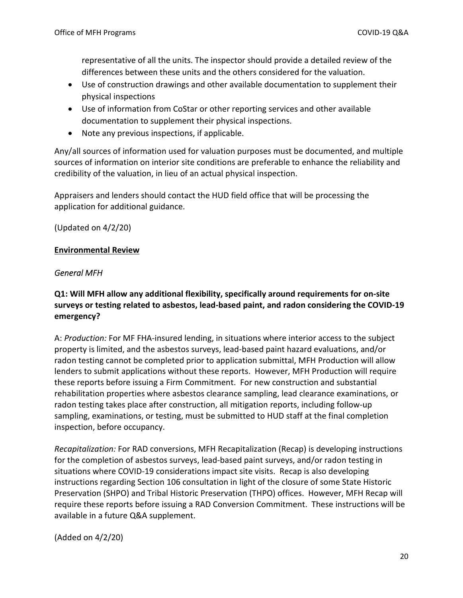representative of all the units. The inspector should provide a detailed review of the differences between these units and the others considered for the valuation.

- Use of construction drawings and other available documentation to supplement their physical inspections
- Use of information from CoStar or other reporting services and other available documentation to supplement their physical inspections.
- Note any previous inspections, if applicable.

Any/all sources of information used for valuation purposes must be documented, and multiple sources of information on interior site conditions are preferable to enhance the reliability and credibility of the valuation, in lieu of an actual physical inspection.

Appraisers and lenders should contact the HUD field office that will be processing the application for additional guidance.

(Updated on 4/2/20)

# <span id="page-19-0"></span>**Environmental Review**

# <span id="page-19-1"></span>*General MFH*

**Q1: Will MFH allow any additional flexibility, specifically around requirements for on-site surveys or testing related to asbestos, lead-based paint, and radon considering the COVID-19 emergency?** 

A: *Production:* For MF FHA-insured lending, in situations where interior access to the subject property is limited, and the asbestos surveys, lead-based paint hazard evaluations, and/or radon testing cannot be completed prior to application submittal, MFH Production will allow lenders to submit applications without these reports. However, MFH Production will require these reports before issuing a Firm Commitment. For new construction and substantial rehabilitation properties where asbestos clearance sampling, lead clearance examinations, or radon testing takes place after construction, all mitigation reports, including follow-up sampling, examinations, or testing, must be submitted to HUD staff at the final completion inspection, before occupancy.

*Recapitalization:* For RAD conversions, MFH Recapitalization (Recap) is developing instructions for the completion of asbestos surveys, lead-based paint surveys, and/or radon testing in situations where COVID-19 considerations impact site visits. Recap is also developing instructions regarding Section 106 consultation in light of the closure of some State Historic Preservation (SHPO) and Tribal Historic Preservation (THPO) offices. However, MFH Recap will require these reports before issuing a RAD Conversion Commitment. These instructions will be available in a future Q&A supplement.

(Added on 4/2/20)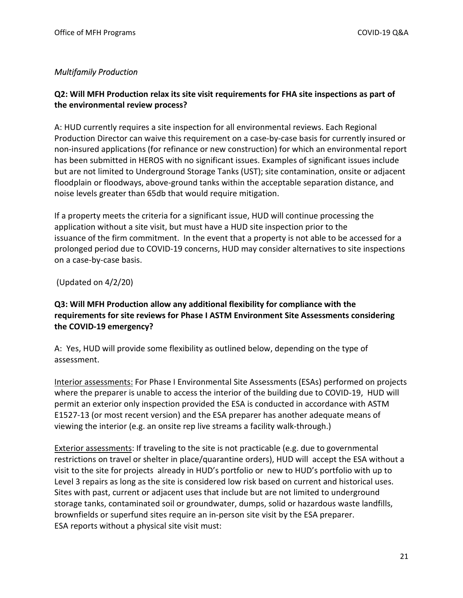# <span id="page-20-0"></span>*Multifamily Production*

# **Q2: Will MFH Production relax its site visit requirements for FHA site inspections as part of the environmental review process?**

A: HUD currently requires a site inspection for all environmental reviews. Each Regional Production Director can waive this requirement on a case-by-case basis for currently insured or non-insured applications (for refinance or new construction) for which an environmental report has been submitted in HEROS with no significant issues. Examples of significant issues include but are not limited to Underground Storage Tanks (UST); site contamination, onsite or adjacent floodplain or floodways, above-ground tanks within the acceptable separation distance, and noise levels greater than 65db that would require mitigation.

If a property meets the criteria for a significant issue, HUD will continue processing the application without a site visit, but must have a HUD site inspection prior to the issuance of the firm commitment. In the event that a property is not able to be accessed for a prolonged period due to COVID-19 concerns, HUD may consider alternatives to site inspections on a case-by-case basis.

(Updated on 4/2/20)

# **Q3: Will MFH Production allow any additional flexibility for compliance with the requirements for site reviews for Phase I ASTM Environment Site Assessments considering the COVID-19 emergency?**

A: Yes, HUD will provide some flexibility as outlined below, depending on the type of assessment.

Interior assessments: For Phase I Environmental Site Assessments (ESAs) performed on projects where the preparer is unable to access the interior of the building due to COVID-19, HUD will permit an exterior only inspection provided the ESA is conducted in accordance with ASTM E1527-13 (or most recent version) and the ESA preparer has another adequate means of viewing the interior (e.g. an onsite rep live streams a facility walk-through.)

Exterior assessments: If traveling to the site is not practicable (e.g. due to governmental restrictions on travel or shelter in place/quarantine orders), HUD will accept the ESA without a visit to the site for projects already in HUD's portfolio or new to HUD's portfolio with up to Level 3 repairs as long as the site is considered low risk based on current and historical uses. Sites with past, current or adjacent uses that include but are not limited to underground storage tanks, contaminated soil or groundwater, dumps, solid or hazardous waste landfills, brownfields or superfund sites require an in-person site visit by the ESA preparer. ESA reports without a physical site visit must: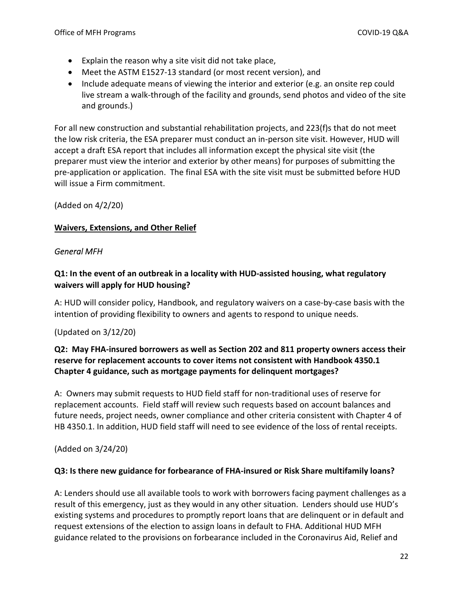- Explain the reason why a site visit did not take place,
- Meet the ASTM E1527-13 standard (or most recent version), and
- Include adequate means of viewing the interior and exterior (e.g. an onsite rep could live stream a walk-through of the facility and grounds, send photos and video of the site and grounds.)

For all new construction and substantial rehabilitation projects, and 223(f)s that do not meet the low risk criteria, the ESA preparer must conduct an in-person site visit. However, HUD will accept a draft ESA report that includes all information except the physical site visit (the preparer must view the interior and exterior by other means) for purposes of submitting the pre-application or application. The final ESA with the site visit must be submitted before HUD will issue a Firm commitment.

# (Added on 4/2/20)

# <span id="page-21-0"></span>**Waivers, Extensions, and Other Relief**

# <span id="page-21-1"></span>*General MFH*

# **Q1: In the event of an outbreak in a locality with HUD-assisted housing, what regulatory waivers will apply for HUD housing?**

A: HUD will consider policy, Handbook, and regulatory waivers on a case-by-case basis with the intention of providing flexibility to owners and agents to respond to unique needs.

# (Updated on 3/12/20)

# **Q2: May FHA-insured borrowers as well as Section 202 and 811 property owners access their reserve for replacement accounts to cover items not consistent with Handbook 4350.1 Chapter 4 guidance, such as mortgage payments for delinquent mortgages?**

A: Owners may submit requests to HUD field staff for non-traditional uses of reserve for replacement accounts. Field staff will review such requests based on account balances and future needs, project needs, owner compliance and other criteria consistent with Chapter 4 of HB 4350.1. In addition, HUD field staff will need to see evidence of the loss of rental receipts.

(Added on 3/24/20)

# **Q3: Is there new guidance for forbearance of FHA-insured or Risk Share multifamily loans?**

A: Lenders should use all available tools to work with borrowers facing payment challenges as a result of this emergency, just as they would in any other situation. Lenders should use HUD's existing systems and procedures to promptly report loans that are delinquent or in default and request extensions of the election to assign loans in default to FHA. Additional HUD MFH guidance related to the provisions on forbearance included in the Coronavirus Aid, Relief and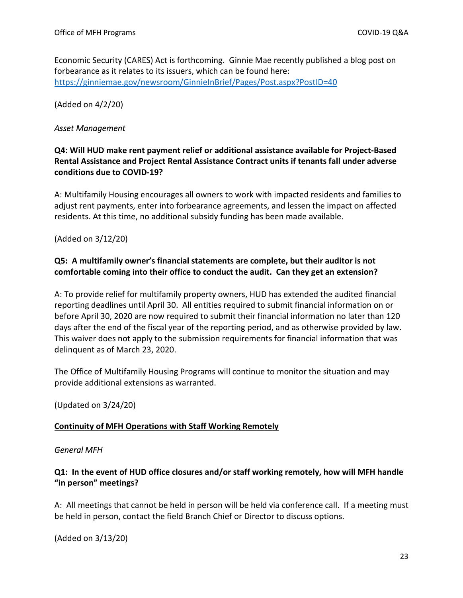Economic Security (CARES) Act is forthcoming. Ginnie Mae recently published a blog post on forbearance as it relates to its issuers, which can be found here: <https://ginniemae.gov/newsroom/GinnieInBrief/Pages/Post.aspx?PostID=40>

(Added on 4/2/20)

#### <span id="page-22-0"></span>*Asset Management*

# **Q4: Will HUD make rent payment relief or additional assistance available for Project-Based Rental Assistance and Project Rental Assistance Contract units if tenants fall under adverse conditions due to COVID-19?**

A: Multifamily Housing encourages all owners to work with impacted residents and families to adjust rent payments, enter into forbearance agreements, and lessen the impact on affected residents. At this time, no additional subsidy funding has been made available.

(Added on 3/12/20)

# **Q5: A multifamily owner's financial statements are complete, but their auditor is not comfortable coming into their office to conduct the audit. Can they get an extension?**

A: To provide relief for multifamily property owners, HUD has extended the audited financial reporting deadlines until April 30. All entities required to submit financial information on or before April 30, 2020 are now required to submit their financial information no later than 120 days after the end of the fiscal year of the reporting period, and as otherwise provided by law. This waiver does not apply to the submission requirements for financial information that was delinquent as of March 23, 2020.

The Office of Multifamily Housing Programs will continue to monitor the situation and may provide additional extensions as warranted.

(Updated on 3/24/20)

# <span id="page-22-1"></span>**Continuity of MFH Operations with Staff Working Remotely**

#### <span id="page-22-2"></span>*General MFH*

# **Q1: In the event of HUD office closures and/or staff working remotely, how will MFH handle "in person" meetings?**

A: All meetings that cannot be held in person will be held via conference call. If a meeting must be held in person, contact the field Branch Chief or Director to discuss options.

(Added on 3/13/20)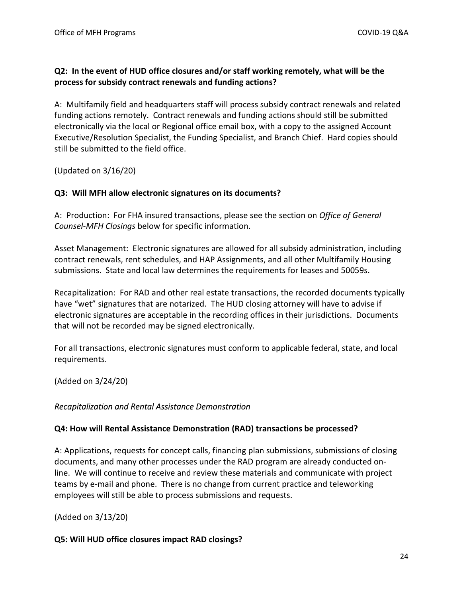#### **Q2: In the event of HUD office closures and/or staff working remotely, what will be the process for subsidy contract renewals and funding actions?**

A: Multifamily field and headquarters staff will process subsidy contract renewals and related funding actions remotely. Contract renewals and funding actions should still be submitted electronically via the local or Regional office email box, with a copy to the assigned Account Executive/Resolution Specialist, the Funding Specialist, and Branch Chief. Hard copies should still be submitted to the field office.

(Updated on 3/16/20)

#### **Q3: Will MFH allow electronic signatures on its documents?**

A: Production: For FHA insured transactions, please see the section on *Office of General Counsel-MFH Closings* below for specific information.

Asset Management: Electronic signatures are allowed for all subsidy administration, including contract renewals, rent schedules, and HAP Assignments, and all other Multifamily Housing submissions. State and local law determines the requirements for leases and 50059s.

Recapitalization: For RAD and other real estate transactions, the recorded documents typically have "wet" signatures that are notarized. The HUD closing attorney will have to advise if electronic signatures are acceptable in the recording offices in their jurisdictions. Documents that will not be recorded may be signed electronically.

For all transactions, electronic signatures must conform to applicable federal, state, and local requirements.

(Added on 3/24/20)

#### <span id="page-23-0"></span>*Recapitalization and Rental Assistance Demonstration*

#### **Q4: How will Rental Assistance Demonstration (RAD) transactions be processed?**

A: Applications, requests for concept calls, financing plan submissions, submissions of closing documents, and many other processes under the RAD program are already conducted online. We will continue to receive and review these materials and communicate with project teams by e-mail and phone. There is no change from current practice and teleworking employees will still be able to process submissions and requests.

(Added on 3/13/20)

#### **Q5: Will HUD office closures impact RAD closings?**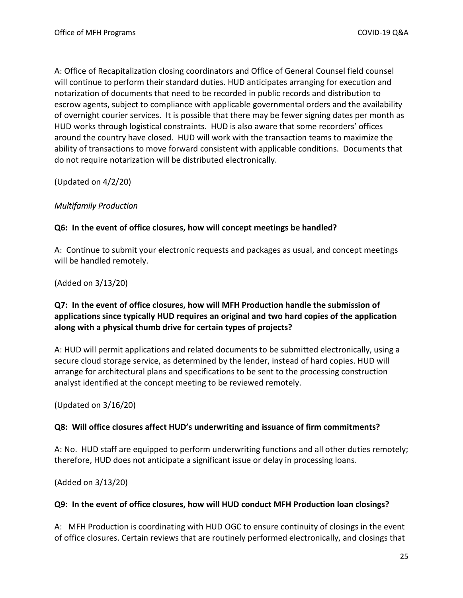A: Office of Recapitalization closing coordinators and Office of General Counsel field counsel will continue to perform their standard duties. HUD anticipates arranging for execution and notarization of documents that need to be recorded in public records and distribution to escrow agents, subject to compliance with applicable governmental orders and the availability of overnight courier services. It is possible that there may be fewer signing dates per month as HUD works through logistical constraints. HUD is also aware that some recorders' offices around the country have closed. HUD will work with the transaction teams to maximize the ability of transactions to move forward consistent with applicable conditions. Documents that do not require notarization will be distributed electronically.

(Updated on 4/2/20)

# <span id="page-24-0"></span>*Multifamily Production*

#### **Q6: In the event of office closures, how will concept meetings be handled?**

A: Continue to submit your electronic requests and packages as usual, and concept meetings will be handled remotely.

(Added on 3/13/20)

# **Q7: In the event of office closures, how will MFH Production handle the submission of applications since typically HUD requires an original and two hard copies of the application along with a physical thumb drive for certain types of projects?**

A: HUD will permit applications and related documents to be submitted electronically, using a secure cloud storage service, as determined by the lender, instead of hard copies. HUD will arrange for architectural plans and specifications to be sent to the processing construction analyst identified at the concept meeting to be reviewed remotely.

(Updated on 3/16/20)

#### **Q8: Will office closures affect HUD's underwriting and issuance of firm commitments?**

A: No. HUD staff are equipped to perform underwriting functions and all other duties remotely; therefore, HUD does not anticipate a significant issue or delay in processing loans.

(Added on 3/13/20)

#### **Q9: In the event of office closures, how will HUD conduct MFH Production loan closings?**

A: MFH Production is coordinating with HUD OGC to ensure continuity of closings in the event of office closures. Certain reviews that are routinely performed electronically, and closings that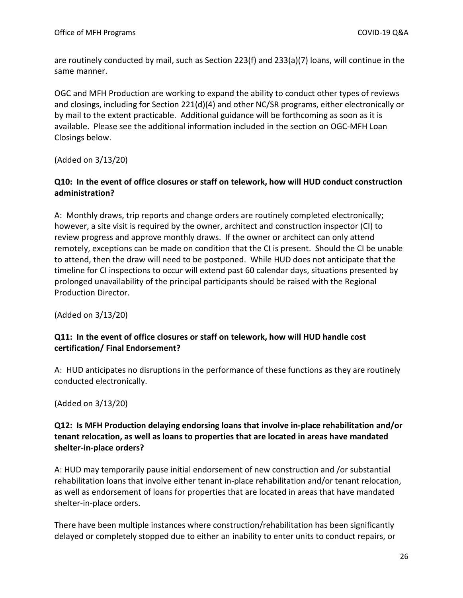are routinely conducted by mail, such as Section 223(f) and 233(a)(7) loans, will continue in the same manner.

OGC and MFH Production are working to expand the ability to conduct other types of reviews and closings, including for Section 221(d)(4) and other NC/SR programs, either electronically or by mail to the extent practicable. Additional guidance will be forthcoming as soon as it is available. Please see the additional information included in the section on OGC-MFH Loan Closings below.

(Added on 3/13/20)

# **Q10: In the event of office closures or staff on telework, how will HUD conduct construction administration?**

A: Monthly draws, trip reports and change orders are routinely completed electronically; however, a site visit is required by the owner, architect and construction inspector (CI) to review progress and approve monthly draws. If the owner or architect can only attend remotely, exceptions can be made on condition that the CI is present. Should the CI be unable to attend, then the draw will need to be postponed. While HUD does not anticipate that the timeline for CI inspections to occur will extend past 60 calendar days, situations presented by prolonged unavailability of the principal participants should be raised with the Regional Production Director.

(Added on 3/13/20)

# **Q11: In the event of office closures or staff on telework, how will HUD handle cost certification/ Final Endorsement?**

A: HUD anticipates no disruptions in the performance of these functions as they are routinely conducted electronically.

(Added on 3/13/20)

# **Q12: Is MFH Production delaying endorsing loans that involve in-place rehabilitation and/or tenant relocation, as well as loans to properties that are located in areas have mandated shelter-in-place orders?**

A: HUD may temporarily pause initial endorsement of new construction and /or substantial rehabilitation loans that involve either tenant in-place rehabilitation and/or tenant relocation, as well as endorsement of loans for properties that are located in areas that have mandated shelter-in-place orders.

There have been multiple instances where construction/rehabilitation has been significantly delayed or completely stopped due to either an inability to enter units to conduct repairs, or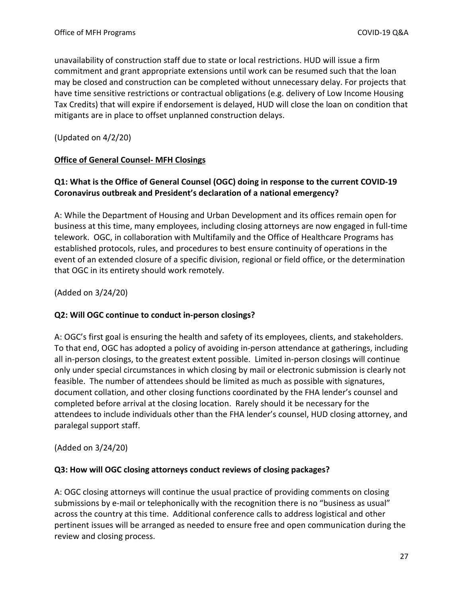unavailability of construction staff due to state or local restrictions. HUD will issue a firm commitment and grant appropriate extensions until work can be resumed such that the loan may be closed and construction can be completed without unnecessary delay. For projects that have time sensitive restrictions or contractual obligations (e.g. delivery of Low Income Housing Tax Credits) that will expire if endorsement is delayed, HUD will close the loan on condition that mitigants are in place to offset unplanned construction delays.

(Updated on 4/2/20)

#### <span id="page-26-0"></span>**Office of General Counsel- MFH Closings**

# **Q1: What is the Office of General Counsel (OGC) doing in response to the current COVID-19 Coronavirus outbreak and President's declaration of a national emergency?**

A: While the Department of Housing and Urban Development and its offices remain open for business at this time, many employees, including closing attorneys are now engaged in full-time telework. OGC, in collaboration with Multifamily and the Office of Healthcare Programs has established protocols, rules, and procedures to best ensure continuity of operations in the event of an extended closure of a specific division, regional or field office, or the determination that OGC in its entirety should work remotely.

(Added on 3/24/20)

#### **Q2: Will OGC continue to conduct in-person closings?**

A: OGC's first goal is ensuring the health and safety of its employees, clients, and stakeholders. To that end, OGC has adopted a policy of avoiding in-person attendance at gatherings, including all in-person closings, to the greatest extent possible. Limited in-person closings will continue only under special circumstances in which closing by mail or electronic submission is clearly not feasible. The number of attendees should be limited as much as possible with signatures, document collation, and other closing functions coordinated by the FHA lender's counsel and completed before arrival at the closing location. Rarely should it be necessary for the attendees to include individuals other than the FHA lender's counsel, HUD closing attorney, and paralegal support staff.

(Added on 3/24/20)

#### **Q3: How will OGC closing attorneys conduct reviews of closing packages?**

A: OGC closing attorneys will continue the usual practice of providing comments on closing submissions by e-mail or telephonically with the recognition there is no "business as usual" across the country at this time. Additional conference calls to address logistical and other pertinent issues will be arranged as needed to ensure free and open communication during the review and closing process.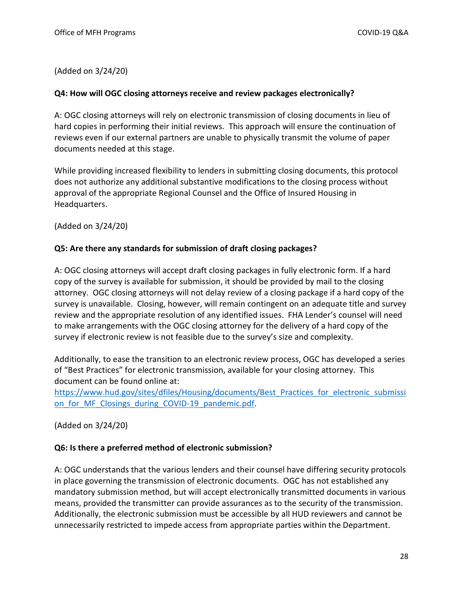(Added on 3/24/20)

#### **Q4: How will OGC closing attorneys receive and review packages electronically?**

A: OGC closing attorneys will rely on electronic transmission of closing documents in lieu of hard copies in performing their initial reviews. This approach will ensure the continuation of reviews even if our external partners are unable to physically transmit the volume of paper documents needed at this stage.

While providing increased flexibility to lenders in submitting closing documents, this protocol does not authorize any additional substantive modifications to the closing process without approval of the appropriate Regional Counsel and the Office of Insured Housing in Headquarters.

(Added on 3/24/20)

#### **Q5: Are there any standards for submission of draft closing packages?**

A: OGC closing attorneys will accept draft closing packages in fully electronic form. If a hard copy of the survey is available for submission, it should be provided by mail to the closing attorney. OGC closing attorneys will not delay review of a closing package if a hard copy of the survey is unavailable. Closing, however, will remain contingent on an adequate title and survey review and the appropriate resolution of any identified issues. FHA Lender's counsel will need to make arrangements with the OGC closing attorney for the delivery of a hard copy of the survey if electronic review is not feasible due to the survey's size and complexity.

Additionally, to ease the transition to an electronic review process, OGC has developed a series of "Best Practices" for electronic transmission, available for your closing attorney. This document can be found online at:

[https://www.hud.gov/sites/dfiles/Housing/documents/Best\\_Practices\\_for\\_electronic\\_submissi](https://www.hud.gov/sites/dfiles/Housing/documents/Best_Practices_for_electronic_submission_for_MF_Closings_during_COVID-19_pandemic.pdf) on for MF Closings during COVID-19 pandemic.pdf.

(Added on 3/24/20)

#### **Q6: Is there a preferred method of electronic submission?**

A: OGC understands that the various lenders and their counsel have differing security protocols in place governing the transmission of electronic documents. OGC has not established any mandatory submission method, but will accept electronically transmitted documents in various means, provided the transmitter can provide assurances as to the security of the transmission. Additionally, the electronic submission must be accessible by all HUD reviewers and cannot be unnecessarily restricted to impede access from appropriate parties within the Department.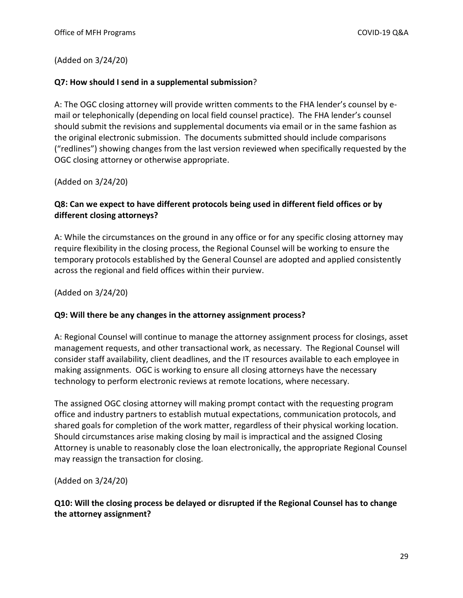(Added on 3/24/20)

#### **Q7: How should I send in a supplemental submission**?

A: The OGC closing attorney will provide written comments to the FHA lender's counsel by email or telephonically (depending on local field counsel practice). The FHA lender's counsel should submit the revisions and supplemental documents via email or in the same fashion as the original electronic submission. The documents submitted should include comparisons ("redlines") showing changes from the last version reviewed when specifically requested by the OGC closing attorney or otherwise appropriate.

(Added on 3/24/20)

#### **Q8: Can we expect to have different protocols being used in different field offices or by different closing attorneys?**

A: While the circumstances on the ground in any office or for any specific closing attorney may require flexibility in the closing process, the Regional Counsel will be working to ensure the temporary protocols established by the General Counsel are adopted and applied consistently across the regional and field offices within their purview.

(Added on 3/24/20)

#### **Q9: Will there be any changes in the attorney assignment process?**

A: Regional Counsel will continue to manage the attorney assignment process for closings, asset management requests, and other transactional work, as necessary. The Regional Counsel will consider staff availability, client deadlines, and the IT resources available to each employee in making assignments. OGC is working to ensure all closing attorneys have the necessary technology to perform electronic reviews at remote locations, where necessary.

The assigned OGC closing attorney will making prompt contact with the requesting program office and industry partners to establish mutual expectations, communication protocols, and shared goals for completion of the work matter, regardless of their physical working location. Should circumstances arise making closing by mail is impractical and the assigned Closing Attorney is unable to reasonably close the loan electronically, the appropriate Regional Counsel may reassign the transaction for closing.

(Added on 3/24/20)

**Q10: Will the closing process be delayed or disrupted if the Regional Counsel has to change the attorney assignment?**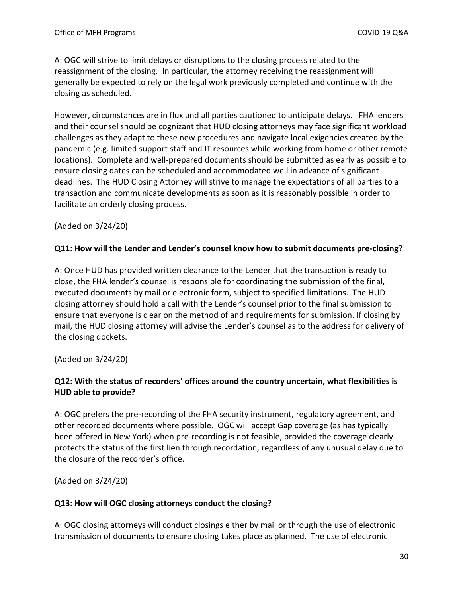A: OGC will strive to limit delays or disruptions to the closing process related to the reassignment of the closing. In particular, the attorney receiving the reassignment will generally be expected to rely on the legal work previously completed and continue with the closing as scheduled.

However, circumstances are in flux and all parties cautioned to anticipate delays. FHA lenders and their counsel should be cognizant that HUD closing attorneys may face significant workload challenges as they adapt to these new procedures and navigate local exigencies created by the pandemic (e.g. limited support staff and IT resources while working from home or other remote locations). Complete and well-prepared documents should be submitted as early as possible to ensure closing dates can be scheduled and accommodated well in advance of significant deadlines. The HUD Closing Attorney will strive to manage the expectations of all parties to a transaction and communicate developments as soon as it is reasonably possible in order to facilitate an orderly closing process.

#### (Added on 3/24/20)

#### **Q11: How will the Lender and Lender's counsel know how to submit documents pre-closing?**

A: Once HUD has provided written clearance to the Lender that the transaction is ready to close, the FHA lender's counsel is responsible for coordinating the submission of the final, executed documents by mail or electronic form, subject to specified limitations. The HUD closing attorney should hold a call with the Lender's counsel prior to the final submission to ensure that everyone is clear on the method of and requirements for submission. If closing by mail, the HUD closing attorney will advise the Lender's counsel as to the address for delivery of the closing dockets.

(Added on 3/24/20)

# **Q12: With the status of recorders' offices around the country uncertain, what flexibilities is HUD able to provide?**

A: OGC prefers the pre-recording of the FHA security instrument, regulatory agreement, and other recorded documents where possible. OGC will accept Gap coverage (as has typically been offered in New York) when pre-recording is not feasible, provided the coverage clearly protects the status of the first lien through recordation, regardless of any unusual delay due to the closure of the recorder's office.

(Added on 3/24/20)

#### **Q13: How will OGC closing attorneys conduct the closing?**

A: OGC closing attorneys will conduct closings either by mail or through the use of electronic transmission of documents to ensure closing takes place as planned. The use of electronic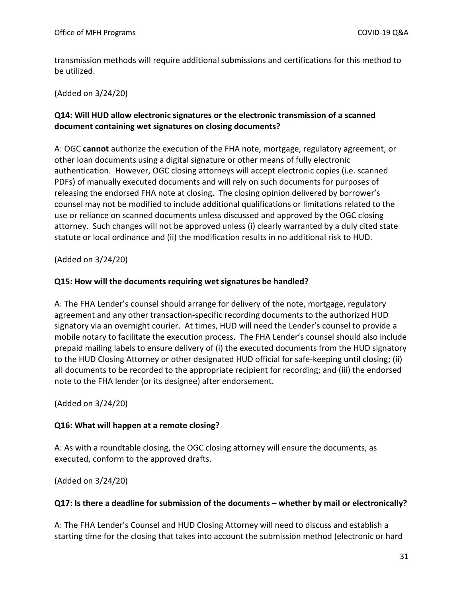transmission methods will require additional submissions and certifications for this method to be utilized.

(Added on 3/24/20)

#### **Q14: Will HUD allow electronic signatures or the electronic transmission of a scanned document containing wet signatures on closing documents?**

A: OGC **cannot** authorize the execution of the FHA note, mortgage, regulatory agreement, or other loan documents using a digital signature or other means of fully electronic authentication. However, OGC closing attorneys will accept electronic copies (i.e. scanned PDFs) of manually executed documents and will rely on such documents for purposes of releasing the endorsed FHA note at closing. The closing opinion delivered by borrower's counsel may not be modified to include additional qualifications or limitations related to the use or reliance on scanned documents unless discussed and approved by the OGC closing attorney. Such changes will not be approved unless (i) clearly warranted by a duly cited state statute or local ordinance and (ii) the modification results in no additional risk to HUD.

(Added on 3/24/20)

#### **Q15: How will the documents requiring wet signatures be handled?**

A: The FHA Lender's counsel should arrange for delivery of the note, mortgage, regulatory agreement and any other transaction-specific recording documents to the authorized HUD signatory via an overnight courier. At times, HUD will need the Lender's counsel to provide a mobile notary to facilitate the execution process. The FHA Lender's counsel should also include prepaid mailing labels to ensure delivery of (i) the executed documents from the HUD signatory to the HUD Closing Attorney or other designated HUD official for safe-keeping until closing; (ii) all documents to be recorded to the appropriate recipient for recording; and (iii) the endorsed note to the FHA lender (or its designee) after endorsement.

(Added on 3/24/20)

# **Q16: What will happen at a remote closing?**

A: As with a roundtable closing, the OGC closing attorney will ensure the documents, as executed, conform to the approved drafts.

(Added on 3/24/20)

#### **Q17: Is there a deadline for submission of the documents – whether by mail or electronically?**

A: The FHA Lender's Counsel and HUD Closing Attorney will need to discuss and establish a starting time for the closing that takes into account the submission method (electronic or hard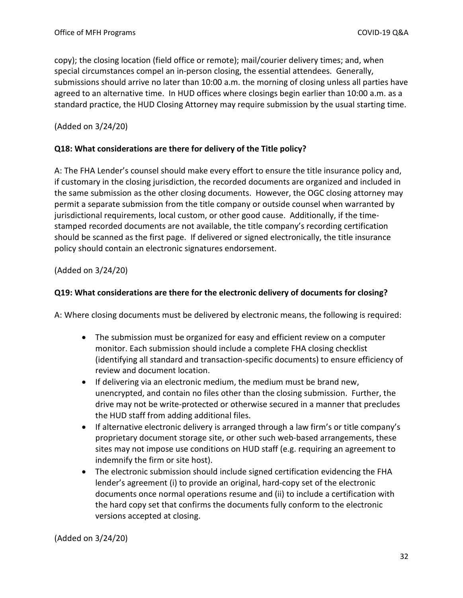copy); the closing location (field office or remote); mail/courier delivery times; and, when special circumstances compel an in-person closing, the essential attendees. Generally, submissions should arrive no later than 10:00 a.m. the morning of closing unless all parties have agreed to an alternative time. In HUD offices where closings begin earlier than 10:00 a.m. as a standard practice, the HUD Closing Attorney may require submission by the usual starting time.

(Added on 3/24/20)

#### **Q18: What considerations are there for delivery of the Title policy?**

A: The FHA Lender's counsel should make every effort to ensure the title insurance policy and, if customary in the closing jurisdiction, the recorded documents are organized and included in the same submission as the other closing documents. However, the OGC closing attorney may permit a separate submission from the title company or outside counsel when warranted by jurisdictional requirements, local custom, or other good cause. Additionally, if the timestamped recorded documents are not available, the title company's recording certification should be scanned as the first page. If delivered or signed electronically, the title insurance policy should contain an electronic signatures endorsement.

(Added on 3/24/20)

#### **Q19: What considerations are there for the electronic delivery of documents for closing?**

A: Where closing documents must be delivered by electronic means, the following is required:

- The submission must be organized for easy and efficient review on a computer monitor. Each submission should include a complete FHA closing checklist (identifying all standard and transaction-specific documents) to ensure efficiency of review and document location.
- If delivering via an electronic medium, the medium must be brand new, unencrypted, and contain no files other than the closing submission. Further, the drive may not be write-protected or otherwise secured in a manner that precludes the HUD staff from adding additional files.
- If alternative electronic delivery is arranged through a law firm's or title company's proprietary document storage site, or other such web-based arrangements, these sites may not impose use conditions on HUD staff (e.g. requiring an agreement to indemnify the firm or site host).
- The electronic submission should include signed certification evidencing the FHA lender's agreement (i) to provide an original, hard-copy set of the electronic documents once normal operations resume and (ii) to include a certification with the hard copy set that confirms the documents fully conform to the electronic versions accepted at closing.

(Added on 3/24/20)